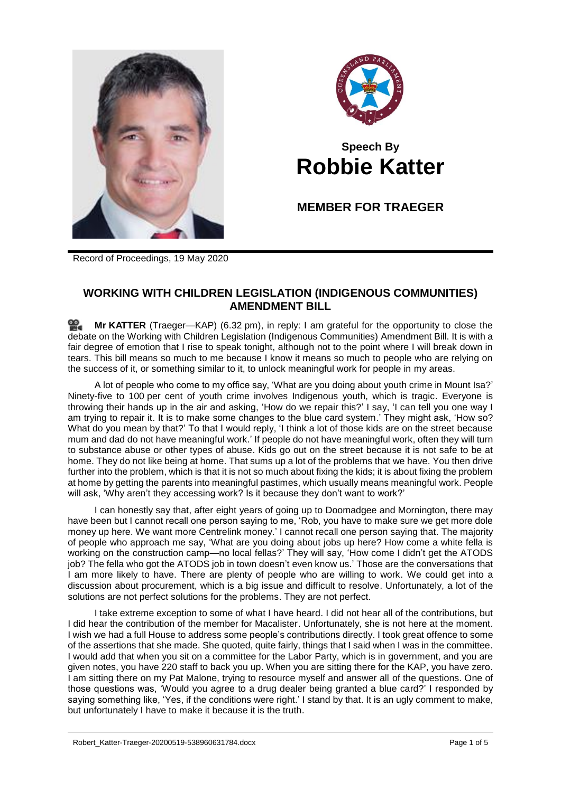



## **Speech By Robbie Katter**

**MEMBER FOR TRAEGER**

Record of Proceedings, 19 May 2020

## **WORKING WITH CHILDREN LEGISLATION (INDIGENOUS COMMUNITIES) AMENDMENT BILL**

≌. **Mr [KATTER](http://www.parliament.qld.gov.au/docs/find.aspx?id=0Mba20200519_183243)** (Traeger—KAP) (6.32 pm), in reply: I am grateful for the opportunity to close the debate on the Working with Children Legislation (Indigenous Communities) Amendment Bill. It is with a fair degree of emotion that I rise to speak tonight, although not to the point where I will break down in tears. This bill means so much to me because I know it means so much to people who are relying on the success of it, or something similar to it, to unlock meaningful work for people in my areas.

A lot of people who come to my office say, 'What are you doing about youth crime in Mount Isa?' Ninety-five to 100 per cent of youth crime involves Indigenous youth, which is tragic. Everyone is throwing their hands up in the air and asking, 'How do we repair this?' I say, 'I can tell you one way I am trying to repair it. It is to make some changes to the blue card system.' They might ask, 'How so? What do you mean by that?' To that I would reply, 'I think a lot of those kids are on the street because mum and dad do not have meaningful work.' If people do not have meaningful work, often they will turn to substance abuse or other types of abuse. Kids go out on the street because it is not safe to be at home. They do not like being at home. That sums up a lot of the problems that we have. You then drive further into the problem, which is that it is not so much about fixing the kids; it is about fixing the problem at home by getting the parents into meaningful pastimes, which usually means meaningful work. People will ask, 'Why aren't they accessing work? Is it because they don't want to work?'

I can honestly say that, after eight years of going up to Doomadgee and Mornington, there may have been but I cannot recall one person saying to me, 'Rob, you have to make sure we get more dole money up here. We want more Centrelink money.' I cannot recall one person saying that. The majority of people who approach me say, 'What are you doing about jobs up here? How come a white fella is working on the construction camp—no local fellas?' They will say, 'How come I didn't get the ATODS job? The fella who got the ATODS job in town doesn't even know us.' Those are the conversations that I am more likely to have. There are plenty of people who are willing to work. We could get into a discussion about procurement, which is a big issue and difficult to resolve. Unfortunately, a lot of the solutions are not perfect solutions for the problems. They are not perfect.

I take extreme exception to some of what I have heard. I did not hear all of the contributions, but I did hear the contribution of the member for Macalister. Unfortunately, she is not here at the moment. I wish we had a full House to address some people's contributions directly. I took great offence to some of the assertions that she made. She quoted, quite fairly, things that I said when I was in the committee. I would add that when you sit on a committee for the Labor Party, which is in government, and you are given notes, you have 220 staff to back you up. When you are sitting there for the KAP, you have zero. I am sitting there on my Pat Malone, trying to resource myself and answer all of the questions. One of those questions was, 'Would you agree to a drug dealer being granted a blue card?' I responded by saying something like, 'Yes, if the conditions were right.' I stand by that. It is an ugly comment to make, but unfortunately I have to make it because it is the truth.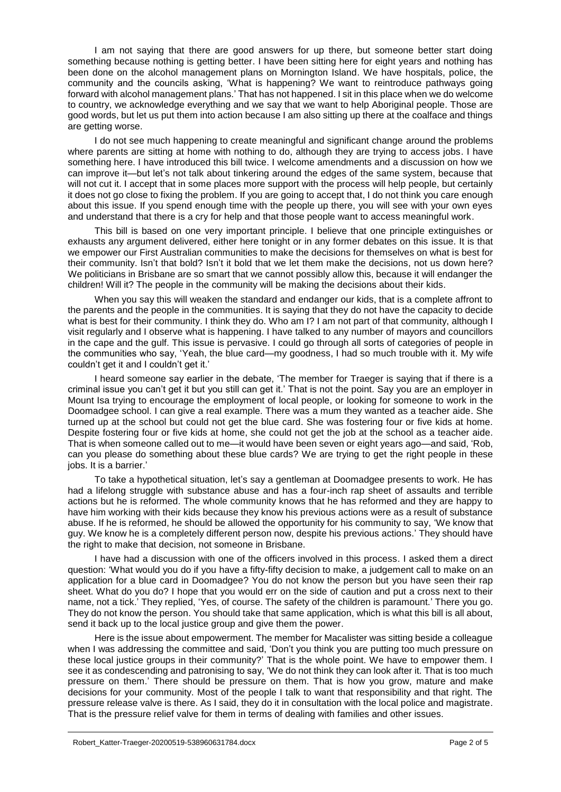I am not saying that there are good answers for up there, but someone better start doing something because nothing is getting better. I have been sitting here for eight years and nothing has been done on the alcohol management plans on Mornington Island. We have hospitals, police, the community and the councils asking, 'What is happening? We want to reintroduce pathways going forward with alcohol management plans.' That has not happened. I sit in this place when we do welcome to country, we acknowledge everything and we say that we want to help Aboriginal people. Those are good words, but let us put them into action because I am also sitting up there at the coalface and things are getting worse.

I do not see much happening to create meaningful and significant change around the problems where parents are sitting at home with nothing to do, although they are trying to access jobs. I have something here. I have introduced this bill twice. I welcome amendments and a discussion on how we can improve it—but let's not talk about tinkering around the edges of the same system, because that will not cut it. I accept that in some places more support with the process will help people, but certainly it does not go close to fixing the problem. If you are going to accept that, I do not think you care enough about this issue. If you spend enough time with the people up there, you will see with your own eyes and understand that there is a cry for help and that those people want to access meaningful work.

This bill is based on one very important principle. I believe that one principle extinguishes or exhausts any argument delivered, either here tonight or in any former debates on this issue. It is that we empower our First Australian communities to make the decisions for themselves on what is best for their community. Isn't that bold? Isn't it bold that we let them make the decisions, not us down here? We politicians in Brisbane are so smart that we cannot possibly allow this, because it will endanger the children! Will it? The people in the community will be making the decisions about their kids.

When you say this will weaken the standard and endanger our kids, that is a complete affront to the parents and the people in the communities. It is saying that they do not have the capacity to decide what is best for their community. I think they do. Who am I? I am not part of that community, although I visit regularly and I observe what is happening. I have talked to any number of mayors and councillors in the cape and the gulf. This issue is pervasive. I could go through all sorts of categories of people in the communities who say, 'Yeah, the blue card—my goodness, I had so much trouble with it. My wife couldn't get it and I couldn't get it.'

I heard someone say earlier in the debate, 'The member for Traeger is saying that if there is a criminal issue you can't get it but you still can get it.' That is not the point. Say you are an employer in Mount Isa trying to encourage the employment of local people, or looking for someone to work in the Doomadgee school. I can give a real example. There was a mum they wanted as a teacher aide. She turned up at the school but could not get the blue card. She was fostering four or five kids at home. Despite fostering four or five kids at home, she could not get the job at the school as a teacher aide. That is when someone called out to me—it would have been seven or eight years ago—and said, 'Rob, can you please do something about these blue cards? We are trying to get the right people in these jobs. It is a barrier.'

To take a hypothetical situation, let's say a gentleman at Doomadgee presents to work. He has had a lifelong struggle with substance abuse and has a four-inch rap sheet of assaults and terrible actions but he is reformed. The whole community knows that he has reformed and they are happy to have him working with their kids because they know his previous actions were as a result of substance abuse. If he is reformed, he should be allowed the opportunity for his community to say, 'We know that guy. We know he is a completely different person now, despite his previous actions.' They should have the right to make that decision, not someone in Brisbane.

I have had a discussion with one of the officers involved in this process. I asked them a direct question: 'What would you do if you have a fifty-fifty decision to make, a judgement call to make on an application for a blue card in Doomadgee? You do not know the person but you have seen their rap sheet. What do you do? I hope that you would err on the side of caution and put a cross next to their name, not a tick.' They replied, 'Yes, of course. The safety of the children is paramount.' There you go. They do not know the person. You should take that same application, which is what this bill is all about, send it back up to the local justice group and give them the power.

Here is the issue about empowerment. The member for Macalister was sitting beside a colleague when I was addressing the committee and said, 'Don't you think you are putting too much pressure on these local justice groups in their community?' That is the whole point. We have to empower them. I see it as condescending and patronising to say, 'We do not think they can look after it. That is too much pressure on them.' There should be pressure on them. That is how you grow, mature and make decisions for your community. Most of the people I talk to want that responsibility and that right. The pressure release valve is there. As I said, they do it in consultation with the local police and magistrate. That is the pressure relief valve for them in terms of dealing with families and other issues.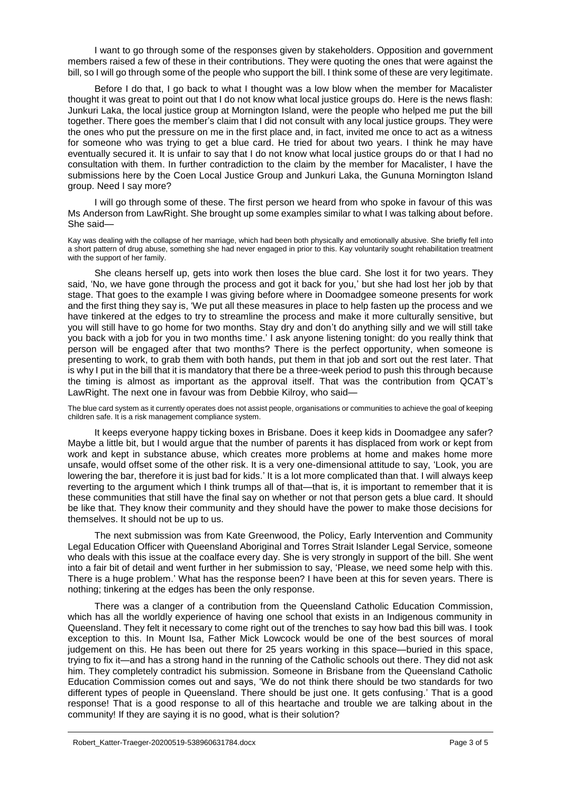I want to go through some of the responses given by stakeholders. Opposition and government members raised a few of these in their contributions. They were quoting the ones that were against the bill, so I will go through some of the people who support the bill. I think some of these are very legitimate.

Before I do that, I go back to what I thought was a low blow when the member for Macalister thought it was great to point out that I do not know what local justice groups do. Here is the news flash: Junkuri Laka, the local justice group at Mornington Island, were the people who helped me put the bill together. There goes the member's claim that I did not consult with any local justice groups. They were the ones who put the pressure on me in the first place and, in fact, invited me once to act as a witness for someone who was trying to get a blue card. He tried for about two years. I think he may have eventually secured it. It is unfair to say that I do not know what local justice groups do or that I had no consultation with them. In further contradiction to the claim by the member for Macalister, I have the submissions here by the Coen Local Justice Group and Junkuri Laka, the Gununa Mornington Island group. Need I say more?

I will go through some of these. The first person we heard from who spoke in favour of this was Ms Anderson from LawRight. She brought up some examples similar to what I was talking about before. She said—

Kay was dealing with the collapse of her marriage, which had been both physically and emotionally abusive. She briefly fell into a short pattern of drug abuse, something she had never engaged in prior to this. Kay voluntarily sought rehabilitation treatment with the support of her family.

She cleans herself up, gets into work then loses the blue card. She lost it for two years. They said, 'No, we have gone through the process and got it back for you,' but she had lost her job by that stage. That goes to the example I was giving before where in Doomadgee someone presents for work and the first thing they say is, 'We put all these measures in place to help fasten up the process and we have tinkered at the edges to try to streamline the process and make it more culturally sensitive, but you will still have to go home for two months. Stay dry and don't do anything silly and we will still take you back with a job for you in two months time.' I ask anyone listening tonight: do you really think that person will be engaged after that two months? There is the perfect opportunity, when someone is presenting to work, to grab them with both hands, put them in that job and sort out the rest later. That is why I put in the bill that it is mandatory that there be a three-week period to push this through because the timing is almost as important as the approval itself. That was the contribution from QCAT's LawRight. The next one in favour was from Debbie Kilroy, who said—

The blue card system as it currently operates does not assist people, organisations or communities to achieve the goal of keeping children safe. It is a risk management compliance system.

It keeps everyone happy ticking boxes in Brisbane. Does it keep kids in Doomadgee any safer? Maybe a little bit, but I would argue that the number of parents it has displaced from work or kept from work and kept in substance abuse, which creates more problems at home and makes home more unsafe, would offset some of the other risk. It is a very one-dimensional attitude to say, 'Look, you are lowering the bar, therefore it is just bad for kids.' It is a lot more complicated than that. I will always keep reverting to the argument which I think trumps all of that—that is, it is important to remember that it is these communities that still have the final say on whether or not that person gets a blue card. It should be like that. They know their community and they should have the power to make those decisions for themselves. It should not be up to us.

The next submission was from Kate Greenwood, the Policy, Early Intervention and Community Legal Education Officer with Queensland Aboriginal and Torres Strait Islander Legal Service, someone who deals with this issue at the coalface every day. She is very strongly in support of the bill. She went into a fair bit of detail and went further in her submission to say, 'Please, we need some help with this. There is a huge problem.' What has the response been? I have been at this for seven years. There is nothing; tinkering at the edges has been the only response.

There was a clanger of a contribution from the Queensland Catholic Education Commission, which has all the worldly experience of having one school that exists in an Indigenous community in Queensland. They felt it necessary to come right out of the trenches to say how bad this bill was. I took exception to this. In Mount Isa, Father Mick Lowcock would be one of the best sources of moral judgement on this. He has been out there for 25 years working in this space—buried in this space, trying to fix it—and has a strong hand in the running of the Catholic schools out there. They did not ask him. They completely contradict his submission. Someone in Brisbane from the Queensland Catholic Education Commission comes out and says, 'We do not think there should be two standards for two different types of people in Queensland. There should be just one. It gets confusing.' That is a good response! That is a good response to all of this heartache and trouble we are talking about in the community! If they are saying it is no good, what is their solution?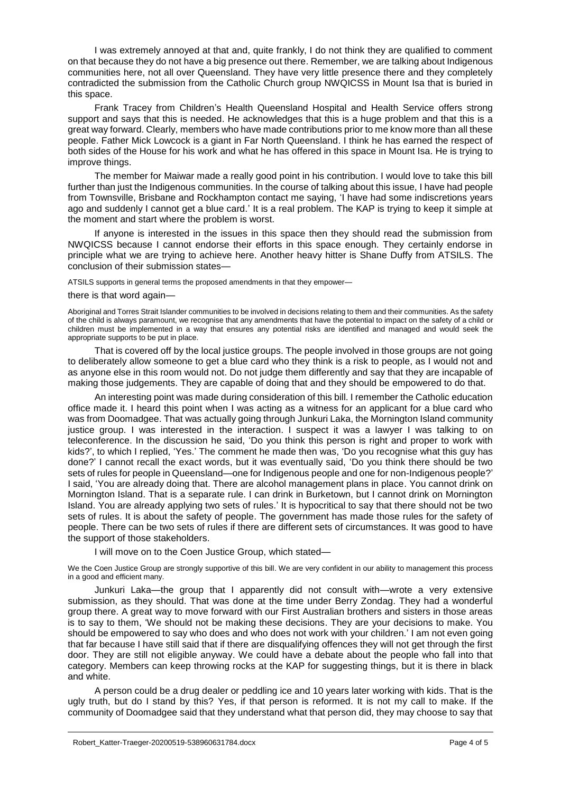I was extremely annoyed at that and, quite frankly, I do not think they are qualified to comment on that because they do not have a big presence out there. Remember, we are talking about Indigenous communities here, not all over Queensland. They have very little presence there and they completely contradicted the submission from the Catholic Church group NWQICSS in Mount Isa that is buried in this space.

Frank Tracey from Children's Health Queensland Hospital and Health Service offers strong support and says that this is needed. He acknowledges that this is a huge problem and that this is a great way forward. Clearly, members who have made contributions prior to me know more than all these people. Father Mick Lowcock is a giant in Far North Queensland. I think he has earned the respect of both sides of the House for his work and what he has offered in this space in Mount Isa. He is trying to improve things.

The member for Maiwar made a really good point in his contribution. I would love to take this bill further than just the Indigenous communities. In the course of talking about this issue, I have had people from Townsville, Brisbane and Rockhampton contact me saying, 'I have had some indiscretions years ago and suddenly I cannot get a blue card.' It is a real problem. The KAP is trying to keep it simple at the moment and start where the problem is worst.

If anyone is interested in the issues in this space then they should read the submission from NWQICSS because I cannot endorse their efforts in this space enough. They certainly endorse in principle what we are trying to achieve here. Another heavy hitter is Shane Duffy from ATSILS. The conclusion of their submission states—

ATSILS supports in general terms the proposed amendments in that they empower—

## there is that word again—

Aboriginal and Torres Strait Islander communities to be involved in decisions relating to them and their communities. As the safety of the child is always paramount, we recognise that any amendments that have the potential to impact on the safety of a child or children must be implemented in a way that ensures any potential risks are identified and managed and would seek the appropriate supports to be put in place.

That is covered off by the local justice groups. The people involved in those groups are not going to deliberately allow someone to get a blue card who they think is a risk to people, as I would not and as anyone else in this room would not. Do not judge them differently and say that they are incapable of making those judgements. They are capable of doing that and they should be empowered to do that.

An interesting point was made during consideration of this bill. I remember the Catholic education office made it. I heard this point when I was acting as a witness for an applicant for a blue card who was from Doomadgee. That was actually going through Junkuri Laka, the Mornington Island community justice group. I was interested in the interaction. I suspect it was a lawyer I was talking to on teleconference. In the discussion he said, 'Do you think this person is right and proper to work with kids?', to which I replied, 'Yes.' The comment he made then was, 'Do you recognise what this guy has done?' I cannot recall the exact words, but it was eventually said, 'Do you think there should be two sets of rules for people in Queensland—one for Indigenous people and one for non-Indigenous people?' I said, 'You are already doing that. There are alcohol management plans in place. You cannot drink on Mornington Island. That is a separate rule. I can drink in Burketown, but I cannot drink on Mornington Island. You are already applying two sets of rules.' It is hypocritical to say that there should not be two sets of rules. It is about the safety of people. The government has made those rules for the safety of people. There can be two sets of rules if there are different sets of circumstances. It was good to have the support of those stakeholders.

I will move on to the Coen Justice Group, which stated—

We the Coen Justice Group are strongly supportive of this bill. We are very confident in our ability to management this process in a good and efficient many.

Junkuri Laka—the group that I apparently did not consult with—wrote a very extensive submission, as they should. That was done at the time under Berry Zondag. They had a wonderful group there. A great way to move forward with our First Australian brothers and sisters in those areas is to say to them, 'We should not be making these decisions. They are your decisions to make. You should be empowered to say who does and who does not work with your children.' I am not even going that far because I have still said that if there are disqualifying offences they will not get through the first door. They are still not eligible anyway. We could have a debate about the people who fall into that category. Members can keep throwing rocks at the KAP for suggesting things, but it is there in black and white.

A person could be a drug dealer or peddling ice and 10 years later working with kids. That is the ugly truth, but do I stand by this? Yes, if that person is reformed. It is not my call to make. If the community of Doomadgee said that they understand what that person did, they may choose to say that